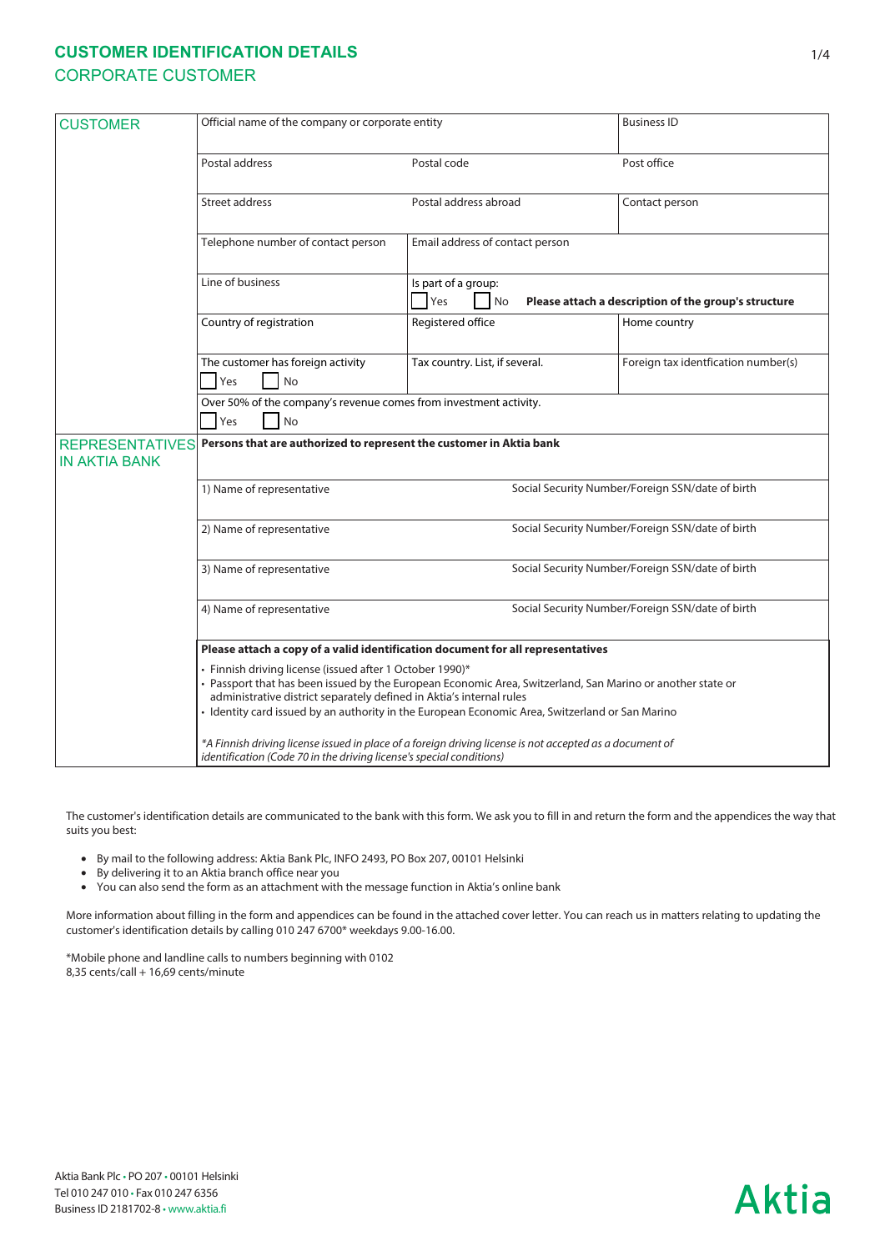## **CUSTOMER IDENTIFICATION DETAILS** CORPORATE CUSTOMER

| <b>CUSTOMER</b>                                                                                             | Official name of the company or corporate entity                                                                                                                                                                                                                                                                                                  |                                                                                            | <b>Business ID</b>                  |  |
|-------------------------------------------------------------------------------------------------------------|---------------------------------------------------------------------------------------------------------------------------------------------------------------------------------------------------------------------------------------------------------------------------------------------------------------------------------------------------|--------------------------------------------------------------------------------------------|-------------------------------------|--|
|                                                                                                             | Postal address                                                                                                                                                                                                                                                                                                                                    | Postal code                                                                                | Post office                         |  |
|                                                                                                             | Street address                                                                                                                                                                                                                                                                                                                                    | Postal address abroad                                                                      | Contact person                      |  |
|                                                                                                             | Telephone number of contact person                                                                                                                                                                                                                                                                                                                | Email address of contact person                                                            |                                     |  |
|                                                                                                             | Line of business                                                                                                                                                                                                                                                                                                                                  | Is part of a group:<br>Yes<br>  No<br>Please attach a description of the group's structure |                                     |  |
|                                                                                                             | Country of registration                                                                                                                                                                                                                                                                                                                           | Registered office                                                                          | Home country                        |  |
|                                                                                                             | The customer has foreign activity<br>Yes<br>No                                                                                                                                                                                                                                                                                                    | Tax country. List, if several.                                                             | Foreign tax identfication number(s) |  |
|                                                                                                             | Over 50% of the company's revenue comes from investment activity.<br>Yes<br>No                                                                                                                                                                                                                                                                    |                                                                                            |                                     |  |
| REPRESENTATIVES Persons that are authorized to represent the customer in Aktia bank<br><b>IN AKTIA BANK</b> |                                                                                                                                                                                                                                                                                                                                                   |                                                                                            |                                     |  |
|                                                                                                             | 1) Name of representative                                                                                                                                                                                                                                                                                                                         | Social Security Number/Foreign SSN/date of birth                                           |                                     |  |
|                                                                                                             | 2) Name of representative                                                                                                                                                                                                                                                                                                                         | Social Security Number/Foreign SSN/date of birth                                           |                                     |  |
|                                                                                                             | 3) Name of representative                                                                                                                                                                                                                                                                                                                         | Social Security Number/Foreign SSN/date of birth                                           |                                     |  |
|                                                                                                             | 4) Name of representative                                                                                                                                                                                                                                                                                                                         | Social Security Number/Foreign SSN/date of birth                                           |                                     |  |
|                                                                                                             | Please attach a copy of a valid identification document for all representatives                                                                                                                                                                                                                                                                   |                                                                                            |                                     |  |
|                                                                                                             | • Finnish driving license (issued after 1 October 1990)*<br>· Passport that has been issued by the European Economic Area, Switzerland, San Marino or another state or<br>administrative district separately defined in Aktia's internal rules<br>· Identity card issued by an authority in the European Economic Area, Switzerland or San Marino |                                                                                            |                                     |  |
|                                                                                                             | *A Finnish driving license issued in place of a foreign driving license is not accepted as a document of<br>identification (Code 70 in the driving license's special conditions)                                                                                                                                                                  |                                                                                            |                                     |  |

The customer's identification details are communicated to the bank with this form. We ask you to fill in and return the form and the appendices the way that suits you best:

- By mail to the following address: Aktia Bank Plc, INFO 2493, PO Box 207, 00101 Helsinki<br>• By delivering it to an Aktia branch office near you
- By delivering it to an Aktia branch office near you
- You can also send the form as an attachment with the message function in Aktia's online bank

More information about filling in the form and appendices can be found in the attached cover letter. You can reach us in matters relating to updating the customer's identification details by calling 010 247 6700\* weekdays 9.00-16.00.

\*Mobile phone and landline calls to numbers beginning with 0102 8,35 cents/call + 16,69 cents/minute

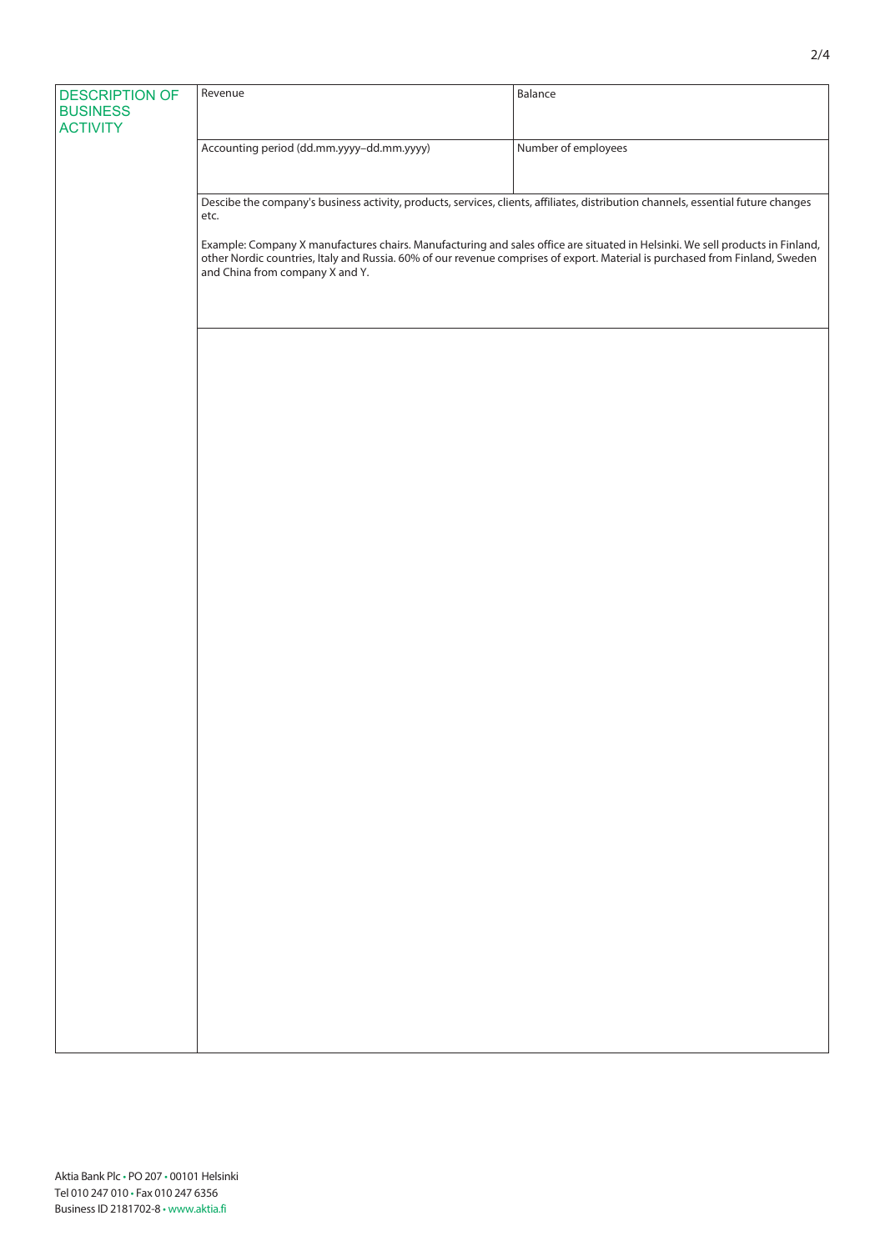| <b>DESCRIPTION OF</b>              | Revenue                                                                                                                                                                                                                                                                                          | Balance             |  |  |  |
|------------------------------------|--------------------------------------------------------------------------------------------------------------------------------------------------------------------------------------------------------------------------------------------------------------------------------------------------|---------------------|--|--|--|
| <b>BUSINESS</b><br><b>ACTIVITY</b> |                                                                                                                                                                                                                                                                                                  |                     |  |  |  |
|                                    | Accounting period (dd.mm.yyyy-dd.mm.yyyy)                                                                                                                                                                                                                                                        | Number of employees |  |  |  |
|                                    |                                                                                                                                                                                                                                                                                                  |                     |  |  |  |
|                                    | Descibe the company's business activity, products, services, clients, affiliates, distribution channels, essential future changes<br>etc.                                                                                                                                                        |                     |  |  |  |
|                                    | Example: Company X manufactures chairs. Manufacturing and sales office are situated in Helsinki. We sell products in Finland,<br>other Nordic countries, Italy and Russia. 60% of our revenue comprises of export. Material is purchased from Finland, Sweden<br>and China from company X and Y. |                     |  |  |  |
|                                    |                                                                                                                                                                                                                                                                                                  |                     |  |  |  |
|                                    |                                                                                                                                                                                                                                                                                                  |                     |  |  |  |
|                                    |                                                                                                                                                                                                                                                                                                  |                     |  |  |  |
|                                    |                                                                                                                                                                                                                                                                                                  |                     |  |  |  |
|                                    |                                                                                                                                                                                                                                                                                                  |                     |  |  |  |
|                                    |                                                                                                                                                                                                                                                                                                  |                     |  |  |  |
|                                    |                                                                                                                                                                                                                                                                                                  |                     |  |  |  |
|                                    |                                                                                                                                                                                                                                                                                                  |                     |  |  |  |
|                                    |                                                                                                                                                                                                                                                                                                  |                     |  |  |  |
|                                    |                                                                                                                                                                                                                                                                                                  |                     |  |  |  |
|                                    |                                                                                                                                                                                                                                                                                                  |                     |  |  |  |
|                                    |                                                                                                                                                                                                                                                                                                  |                     |  |  |  |
|                                    |                                                                                                                                                                                                                                                                                                  |                     |  |  |  |
|                                    |                                                                                                                                                                                                                                                                                                  |                     |  |  |  |
|                                    |                                                                                                                                                                                                                                                                                                  |                     |  |  |  |
|                                    |                                                                                                                                                                                                                                                                                                  |                     |  |  |  |
|                                    |                                                                                                                                                                                                                                                                                                  |                     |  |  |  |
|                                    |                                                                                                                                                                                                                                                                                                  |                     |  |  |  |
|                                    |                                                                                                                                                                                                                                                                                                  |                     |  |  |  |
|                                    |                                                                                                                                                                                                                                                                                                  |                     |  |  |  |
|                                    |                                                                                                                                                                                                                                                                                                  |                     |  |  |  |
|                                    |                                                                                                                                                                                                                                                                                                  |                     |  |  |  |
|                                    |                                                                                                                                                                                                                                                                                                  |                     |  |  |  |
|                                    |                                                                                                                                                                                                                                                                                                  |                     |  |  |  |
|                                    |                                                                                                                                                                                                                                                                                                  |                     |  |  |  |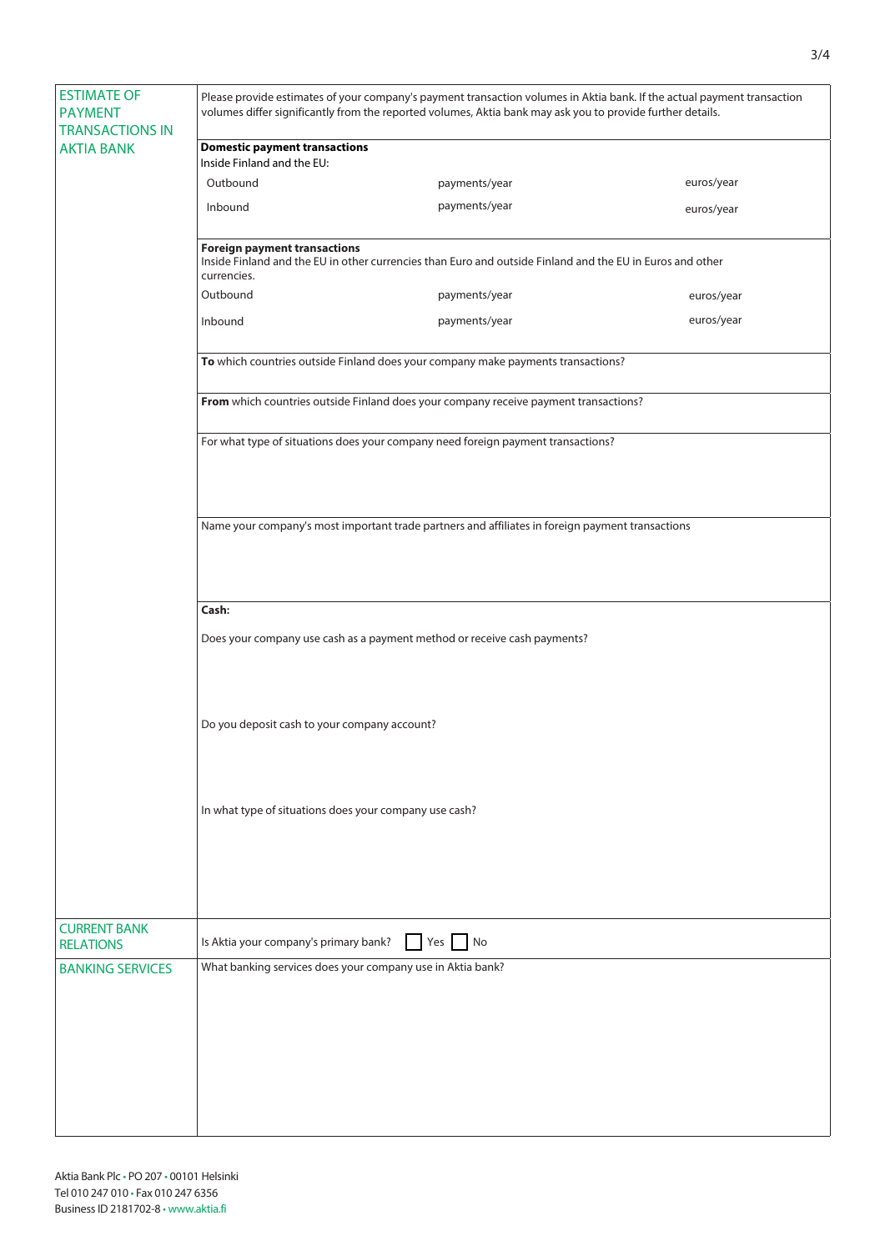| <b>ESTIMATE OF</b><br><b>PAYMENT</b><br><b>TRANSACTIONS IN</b> | Please provide estimates of your company's payment transaction volumes in Aktia bank. If the actual payment transaction<br>volumes differ significantly from the reported volumes, Aktia bank may ask you to provide further details. |                      |            |  |  |
|----------------------------------------------------------------|---------------------------------------------------------------------------------------------------------------------------------------------------------------------------------------------------------------------------------------|----------------------|------------|--|--|
| <b>AKTIA BANK</b>                                              | <b>Domestic payment transactions</b><br>Inside Finland and the EU:                                                                                                                                                                    |                      |            |  |  |
|                                                                | Outbound                                                                                                                                                                                                                              | payments/year        | euros/year |  |  |
|                                                                | Inbound                                                                                                                                                                                                                               | payments/year        | euros/year |  |  |
|                                                                | <b>Foreign payment transactions</b><br>Inside Finland and the EU in other currencies than Euro and outside Finland and the EU in Euros and other<br>currencies.                                                                       |                      |            |  |  |
|                                                                | Outbound                                                                                                                                                                                                                              | payments/year        | euros/year |  |  |
|                                                                | Inbound                                                                                                                                                                                                                               | payments/year        | euros/year |  |  |
|                                                                | To which countries outside Finland does your company make payments transactions?                                                                                                                                                      |                      |            |  |  |
|                                                                | From which countries outside Finland does your company receive payment transactions?                                                                                                                                                  |                      |            |  |  |
|                                                                | For what type of situations does your company need foreign payment transactions?                                                                                                                                                      |                      |            |  |  |
|                                                                |                                                                                                                                                                                                                                       |                      |            |  |  |
|                                                                | Name your company's most important trade partners and affiliates in foreign payment transactions                                                                                                                                      |                      |            |  |  |
|                                                                | Cash:                                                                                                                                                                                                                                 |                      |            |  |  |
|                                                                | Does your company use cash as a payment method or receive cash payments?                                                                                                                                                              |                      |            |  |  |
|                                                                | Do you deposit cash to your company account?                                                                                                                                                                                          |                      |            |  |  |
|                                                                | In what type of situations does your company use cash?                                                                                                                                                                                |                      |            |  |  |
|                                                                |                                                                                                                                                                                                                                       |                      |            |  |  |
| <b>CURRENT BANK</b><br><b>RELATIONS</b>                        | Is Aktia your company's primary bank?                                                                                                                                                                                                 | $\Box$ Yes $\Box$ No |            |  |  |
| <b>BANKING SERVICES</b>                                        | What banking services does your company use in Aktia bank?                                                                                                                                                                            |                      |            |  |  |
|                                                                |                                                                                                                                                                                                                                       |                      |            |  |  |
|                                                                |                                                                                                                                                                                                                                       |                      |            |  |  |